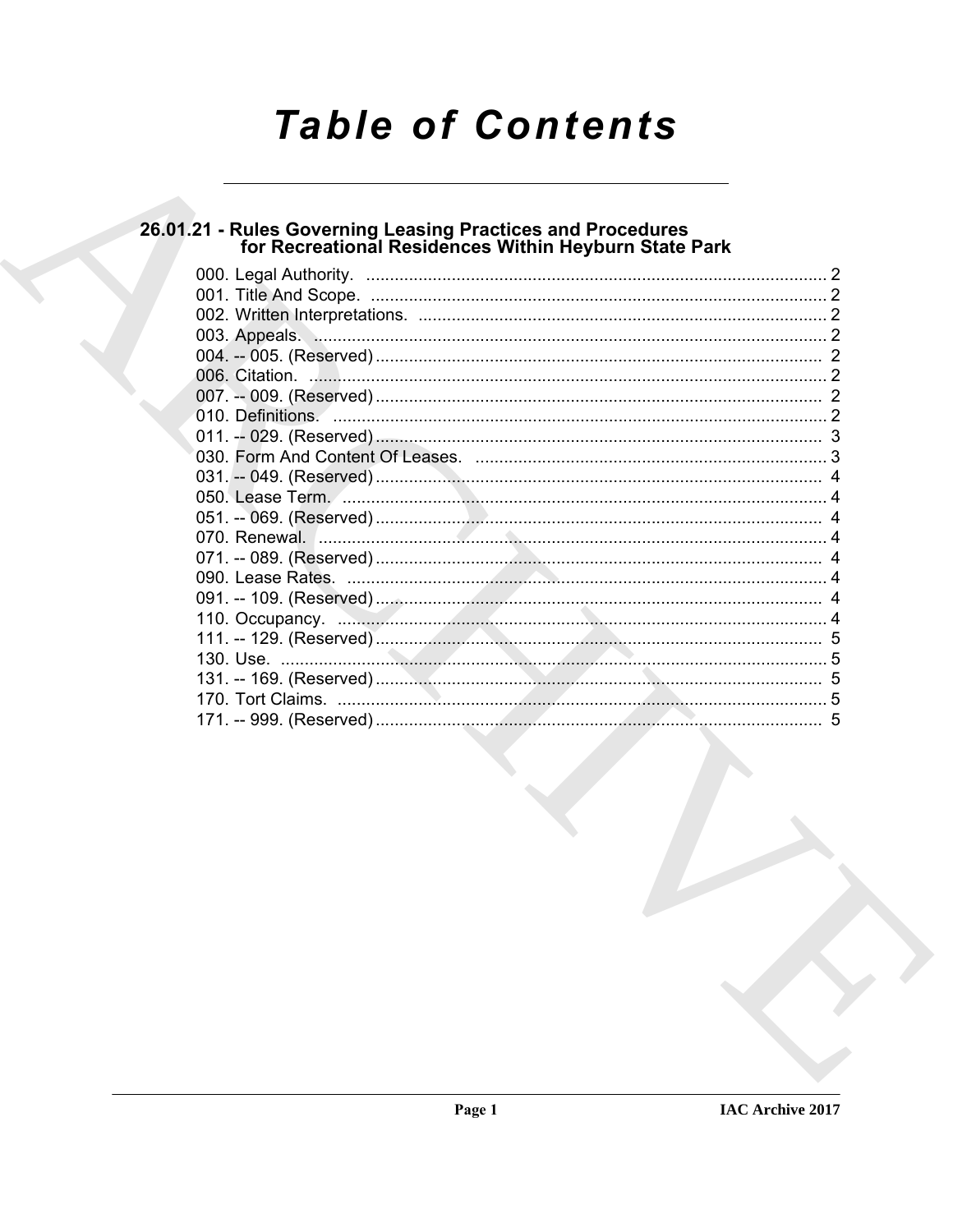# **Table of Contents**

# 26.01.21 - Rules Governing Leasing Practices and Procedures<br>for Recreational Residences Within Heyburn State Park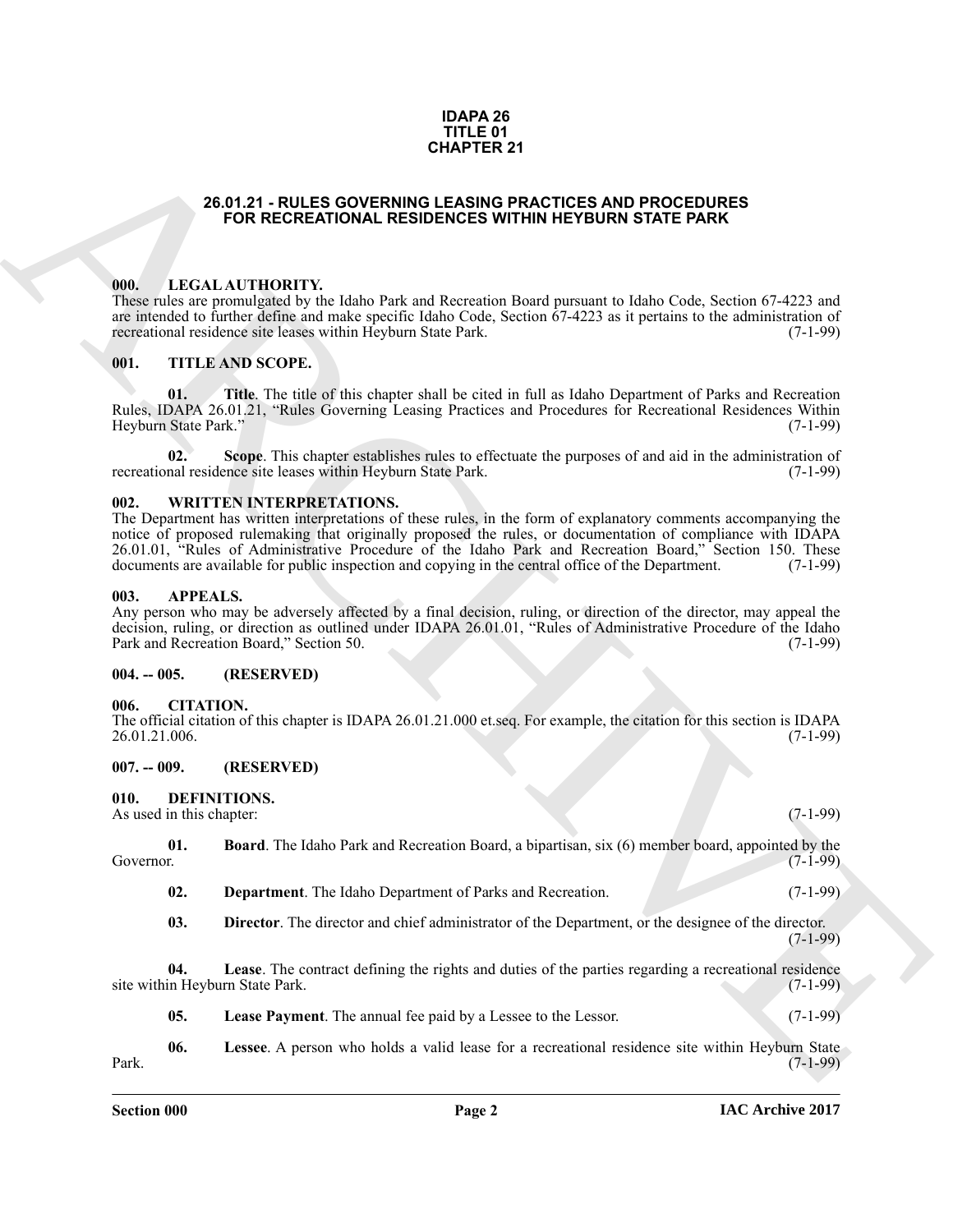#### **IDAPA 26 TITLE 01 CHAPTER 21**

# **26.01.21 - RULES GOVERNING LEASING PRACTICES AND PROCEDURES FOR RECREATIONAL RESIDENCES WITHIN HEYBURN STATE PARK**

#### <span id="page-1-1"></span><span id="page-1-0"></span>**000. LEGAL AUTHORITY.**

These rules are promulgated by the Idaho Park and Recreation Board pursuant to Idaho Code, Section 67-4223 and are intended to further define and make specific Idaho Code, Section  $67-4223$  as it pertains to the administration of recreational residence site leases within Heyburn State Park. (7-1-99) recreational residence site leases within Heyburn State Park.

# <span id="page-1-2"></span>**001. TITLE AND SCOPE.**

**Title**. The title of this chapter shall be cited in full as Idaho Department of Parks and Recreation Rules, IDAPA 26.01.21, "Rules Governing Leasing Practices and Procedures for Recreational Residences Within Heyburn State Park."

**02. Scope**. This chapter establishes rules to effectuate the purposes of and aid in the administration of recreational residence site leases within Heyburn State Park. (7-1-99)

#### <span id="page-1-3"></span>**002. WRITTEN INTERPRETATIONS.**

**26.61.21** - **CALLES GOVERNIER 21**<br> **CALLES COVERNIER CONTINUAL RESIDENCES WITHIN HEYBLEN STATE PARK**<br> **CALL ARCHIVE CONTINUAL RESIDENCES WITHIN HEYBLEN STATE PARK**<br> **CALL ARCHIVE CONTINUAL RESIDENCES WITHIN HEYBLEN STATE** The Department has written interpretations of these rules, in the form of explanatory comments accompanying the notice of proposed rulemaking that originally proposed the rules, or documentation of compliance with IDAPA 26.01.01, "Rules of Administrative Procedure of the Idaho Park and Recreation Board," Section 150. These documents are available for public inspection and copying in the central office of the Department. (7-1-99)

#### <span id="page-1-4"></span>**003. APPEALS.**

Any person who may be adversely affected by a final decision, ruling, or direction of the director, may appeal the decision, ruling, or direction as outlined under IDAPA 26.01.01, "Rules of Administrative Procedure of the Idaho<br>Park and Recreation Board," Section 50. (7-1-99) Park and Recreation Board," Section 50.

#### <span id="page-1-5"></span>**004. -- 005. (RESERVED)**

#### <span id="page-1-6"></span>**006. CITATION.**

The official citation of this chapter is IDAPA 26.01.21.000 et.seq. For example, the citation for this section is IDAPA 26.01.21.006. (7-1-99) 26.01.21.006.

#### <span id="page-1-7"></span>**007. -- 009. (RESERVED)**

# <span id="page-1-9"></span><span id="page-1-8"></span>**010. DEFINITIONS.**

As used in this chapter: (7-1-99) (3-1-99)

**01. Board**. The Idaho Park and Recreation Board, a bipartisan, six (6) member board, appointed by the Governor. (7-1-99) Governor. (7-1-99)

- <span id="page-1-11"></span><span id="page-1-10"></span>**02. Department**. The Idaho Department of Parks and Recreation. (7-1-99)
- <span id="page-1-13"></span><span id="page-1-12"></span>**03. Director**. The director and chief administrator of the Department, or the designee of the director.  $(7-1-99)$

**04.** Lease. The contract defining the rights and duties of the parties regarding a recreational residence in Heyburn State Park. (7-1-99) site within Heyburn State Park.

<span id="page-1-15"></span><span id="page-1-14"></span>**05.** Lease Payment. The annual fee paid by a Lessee to the Lessor. (7-1-99)

**06. Lessee**. A person who holds a valid lease for a recreational residence site within Heyburn State Park. (7-1-99)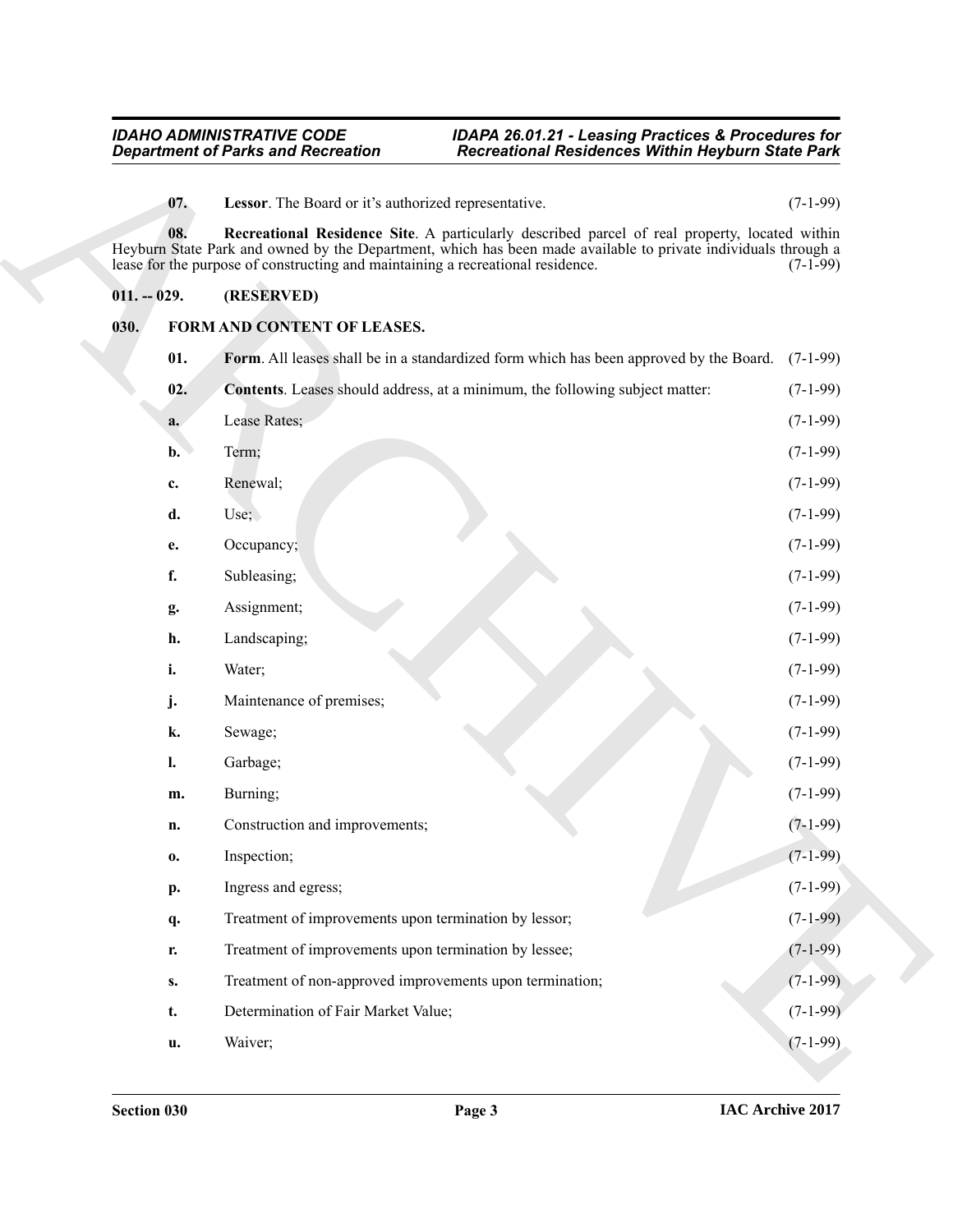# <span id="page-2-3"></span><span id="page-2-2"></span><span id="page-2-0"></span>**011. -- 029. (RESERVED)**

# <span id="page-2-6"></span><span id="page-2-5"></span><span id="page-2-4"></span><span id="page-2-1"></span>**030. FORM AND CONTENT OF LEASES.**

| <b>Department of Parks and Recreation</b> |                |                                                                                                                                                                                                                                                                                                    | <b>Recreational Residences Within Heyburn State Park</b> |  |
|-------------------------------------------|----------------|----------------------------------------------------------------------------------------------------------------------------------------------------------------------------------------------------------------------------------------------------------------------------------------------------|----------------------------------------------------------|--|
|                                           | 07.            | Lessor. The Board or it's authorized representative.                                                                                                                                                                                                                                               | $(7-1-99)$                                               |  |
|                                           | 08.            | Recreational Residence Site. A particularly described parcel of real property, located within<br>Heyburn State Park and owned by the Department, which has been made available to private individuals through a<br>lease for the purpose of constructing and maintaining a recreational residence. | $(7-1-99)$                                               |  |
| $011. - 029.$                             |                | (RESERVED)                                                                                                                                                                                                                                                                                         |                                                          |  |
| 030.                                      |                | FORM AND CONTENT OF LEASES.                                                                                                                                                                                                                                                                        |                                                          |  |
|                                           | 01.            | Form. All leases shall be in a standardized form which has been approved by the Board.                                                                                                                                                                                                             | $(7-1-99)$                                               |  |
|                                           | 02.            | Contents. Leases should address, at a minimum, the following subject matter:                                                                                                                                                                                                                       | $(7-1-99)$                                               |  |
|                                           | a.             | Lease Rates;                                                                                                                                                                                                                                                                                       | $(7-1-99)$                                               |  |
|                                           | $\mathbf{b}$ . | Term;                                                                                                                                                                                                                                                                                              | $(7-1-99)$                                               |  |
|                                           | c.             | Renewal;                                                                                                                                                                                                                                                                                           | $(7-1-99)$                                               |  |
|                                           | d.             | Use;                                                                                                                                                                                                                                                                                               | $(7-1-99)$                                               |  |
|                                           | e.             | Occupancy;                                                                                                                                                                                                                                                                                         | $(7-1-99)$                                               |  |
|                                           | f.             | Subleasing;                                                                                                                                                                                                                                                                                        | $(7-1-99)$                                               |  |
|                                           | g.             | Assignment;                                                                                                                                                                                                                                                                                        | $(7-1-99)$                                               |  |
|                                           | h.             | Landscaping;                                                                                                                                                                                                                                                                                       | $(7-1-99)$                                               |  |
|                                           | i.             | Water;                                                                                                                                                                                                                                                                                             | $(7-1-99)$                                               |  |
|                                           | j.             | Maintenance of premises;                                                                                                                                                                                                                                                                           | $(7-1-99)$                                               |  |
|                                           | k.             | Sewage;                                                                                                                                                                                                                                                                                            | $(7-1-99)$                                               |  |
|                                           | l.             | Garbage;                                                                                                                                                                                                                                                                                           | $(7-1-99)$                                               |  |
|                                           | m.             | Burning;                                                                                                                                                                                                                                                                                           | $(7-1-99)$                                               |  |
|                                           | n.             | Construction and improvements;                                                                                                                                                                                                                                                                     | $(7-1-99)$                                               |  |
|                                           | $\mathbf{0}$   | Inspection;                                                                                                                                                                                                                                                                                        | $(7-1-99)$                                               |  |
|                                           | p.             | Ingress and egress;                                                                                                                                                                                                                                                                                | $(7-1-99)$                                               |  |
|                                           | q.             | Treatment of improvements upon termination by lessor;                                                                                                                                                                                                                                              | $(7-1-99)$                                               |  |
|                                           | r.             | Treatment of improvements upon termination by lessee;                                                                                                                                                                                                                                              | $(7-1-99)$                                               |  |
|                                           | S.             | Treatment of non-approved improvements upon termination;                                                                                                                                                                                                                                           | $(7-1-99)$                                               |  |
|                                           | t.             | Determination of Fair Market Value;                                                                                                                                                                                                                                                                | $(7-1-99)$                                               |  |
|                                           |                | Waiver;                                                                                                                                                                                                                                                                                            | $(7-1-99)$                                               |  |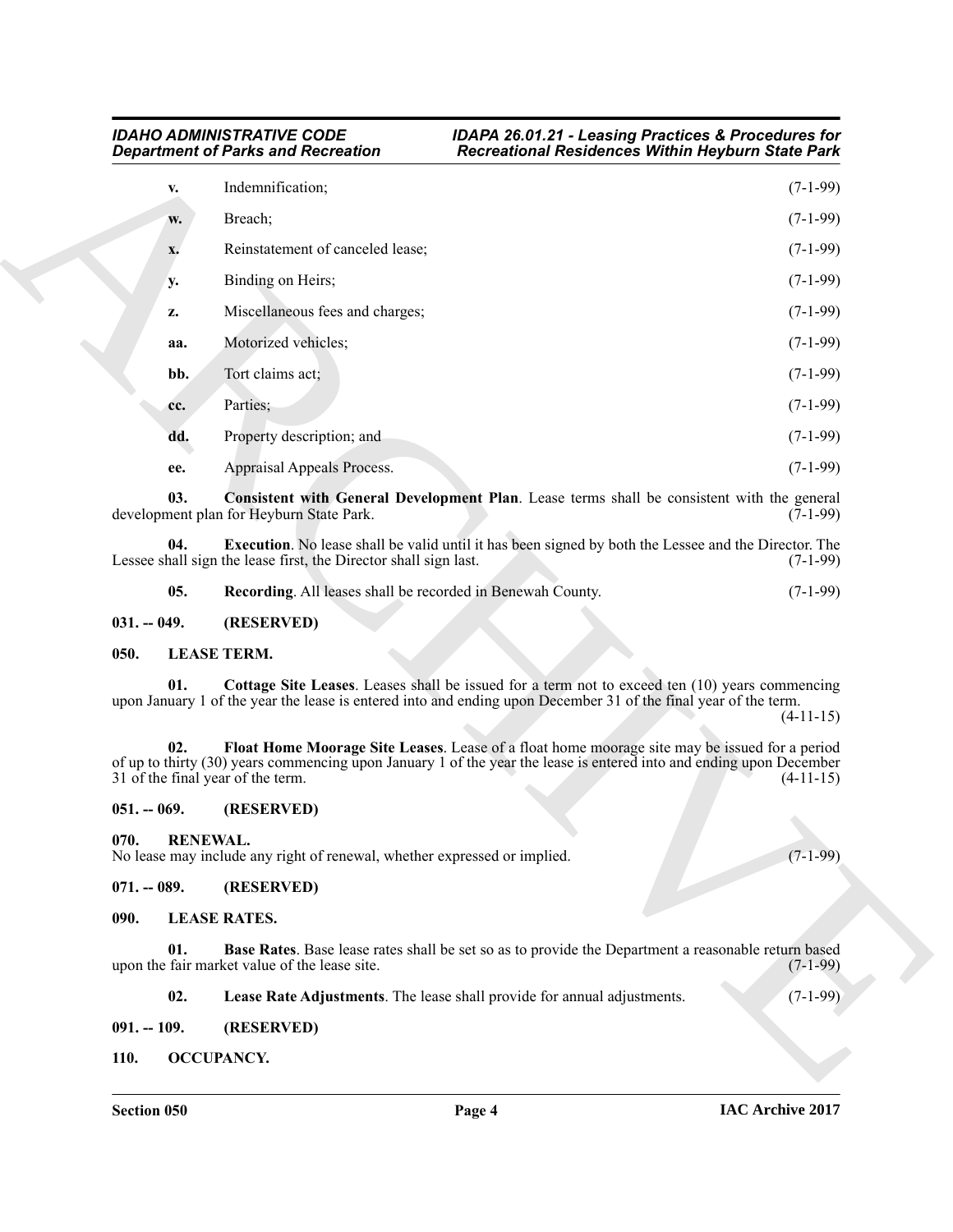|               |                 | <b>Department of Parks and Recreation</b>                                                                                                                                                                                                                 | <b>Recreational Residences Within Heyburn State Park</b> |             |
|---------------|-----------------|-----------------------------------------------------------------------------------------------------------------------------------------------------------------------------------------------------------------------------------------------------------|----------------------------------------------------------|-------------|
|               | v.              | Indemnification;                                                                                                                                                                                                                                          |                                                          | $(7-1-99)$  |
|               | W.              | Breach;                                                                                                                                                                                                                                                   |                                                          | $(7-1-99)$  |
|               | x.              | Reinstatement of canceled lease;                                                                                                                                                                                                                          |                                                          | $(7-1-99)$  |
|               | <b>y.</b>       | Binding on Heirs;                                                                                                                                                                                                                                         |                                                          | $(7-1-99)$  |
|               | z.              | Miscellaneous fees and charges;                                                                                                                                                                                                                           |                                                          | $(7-1-99)$  |
|               | aa.             | Motorized vehicles;                                                                                                                                                                                                                                       |                                                          | $(7-1-99)$  |
|               | bb.             | Tort claims act;                                                                                                                                                                                                                                          |                                                          | $(7-1-99)$  |
|               | cc.             | Parties;                                                                                                                                                                                                                                                  |                                                          | $(7-1-99)$  |
|               | dd.             | Property description; and                                                                                                                                                                                                                                 |                                                          | $(7-1-99)$  |
|               | ee.             | Appraisal Appeals Process.                                                                                                                                                                                                                                |                                                          | $(7-1-99)$  |
|               | 03.             | <b>Consistent with General Development Plan.</b> Lease terms shall be consistent with the general<br>development plan for Heyburn State Park.                                                                                                             |                                                          | $(7-1-99)$  |
|               | 04.             | <b>Execution</b> . No lease shall be valid until it has been signed by both the Lessee and the Director. The<br>Lessee shall sign the lease first, the Director shall sign last.                                                                          |                                                          | $(7-1-99)$  |
|               | 05.             | Recording. All leases shall be recorded in Benewah County.                                                                                                                                                                                                |                                                          | $(7-1-99)$  |
| $031. - 049.$ |                 | (RESERVED)                                                                                                                                                                                                                                                |                                                          |             |
| 050.          |                 | <b>LEASE TERM.</b>                                                                                                                                                                                                                                        |                                                          |             |
|               | 01.             | Cottage Site Leases. Leases shall be issued for a term not to exceed ten (10) years commencing<br>upon January 1 of the year the lease is entered into and ending upon December 31 of the final year of the term.                                         |                                                          | $(4-11-15)$ |
|               | 02.             | Float Home Moorage Site Leases. Lease of a float home moorage site may be issued for a period<br>of up to thirty (30) years commencing upon January 1 of the year the lease is entered into and ending upon December<br>31 of the final year of the term. |                                                          | $(4-11-15)$ |
| $051. - 069.$ |                 | (RESERVED)                                                                                                                                                                                                                                                |                                                          |             |
| 070.          | <b>RENEWAL.</b> | No lease may include any right of renewal, whether expressed or implied.                                                                                                                                                                                  |                                                          | $(7-1-99)$  |
| $071. - 089.$ |                 | (RESERVED)                                                                                                                                                                                                                                                |                                                          |             |
| 090.          |                 | <b>LEASE RATES.</b>                                                                                                                                                                                                                                       |                                                          |             |
|               | 01.             | Base Rates. Base lease rates shall be set so as to provide the Department a reasonable return based<br>upon the fair market value of the lease site.                                                                                                      |                                                          | $(7-1-99)$  |
|               |                 |                                                                                                                                                                                                                                                           |                                                          |             |
|               | 02.             | Lease Rate Adjustments. The lease shall provide for annual adjustments.                                                                                                                                                                                   |                                                          | $(7-1-99)$  |
| $091. - 109.$ |                 | (RESERVED)                                                                                                                                                                                                                                                |                                                          |             |

<span id="page-3-10"></span><span id="page-3-9"></span><span id="page-3-8"></span>

|     | <b>Execution</b> . No lease shall be valid until it has been signed by both the Lessee and the Director. The |            |
|-----|--------------------------------------------------------------------------------------------------------------|------------|
|     | Lessee shall sign the lease first, the Director shall sign last.                                             | $(7-1-99)$ |
|     |                                                                                                              | $(7-1-99)$ |
| 05. | <b>Recording.</b> All leases shall be recorded in Benewah County.                                            |            |

# <span id="page-3-15"></span><span id="page-3-14"></span><span id="page-3-1"></span><span id="page-3-0"></span>**050. LEASE TERM.**

# <span id="page-3-18"></span><span id="page-3-16"></span><span id="page-3-3"></span><span id="page-3-2"></span>**051. -- 069. (RESERVED)**

# <span id="page-3-11"></span><span id="page-3-5"></span><span id="page-3-4"></span>**071. -- 089. (RESERVED)**

- <span id="page-3-17"></span><span id="page-3-13"></span><span id="page-3-12"></span>**02. Lease Rate Adjustments**. The lease shall provide for annual adjustments. (7-1-99)
- <span id="page-3-6"></span>**091. -- 109. (RESERVED)**
- <span id="page-3-7"></span>**110. OCCUPANCY.**

*IDAHO ADMINISTRATIVE CODE IDAPA 26.01.21 - Leasing Practices & Procedures for Department of Parks and Recreation Recreational Residences Within Heyburn State Park*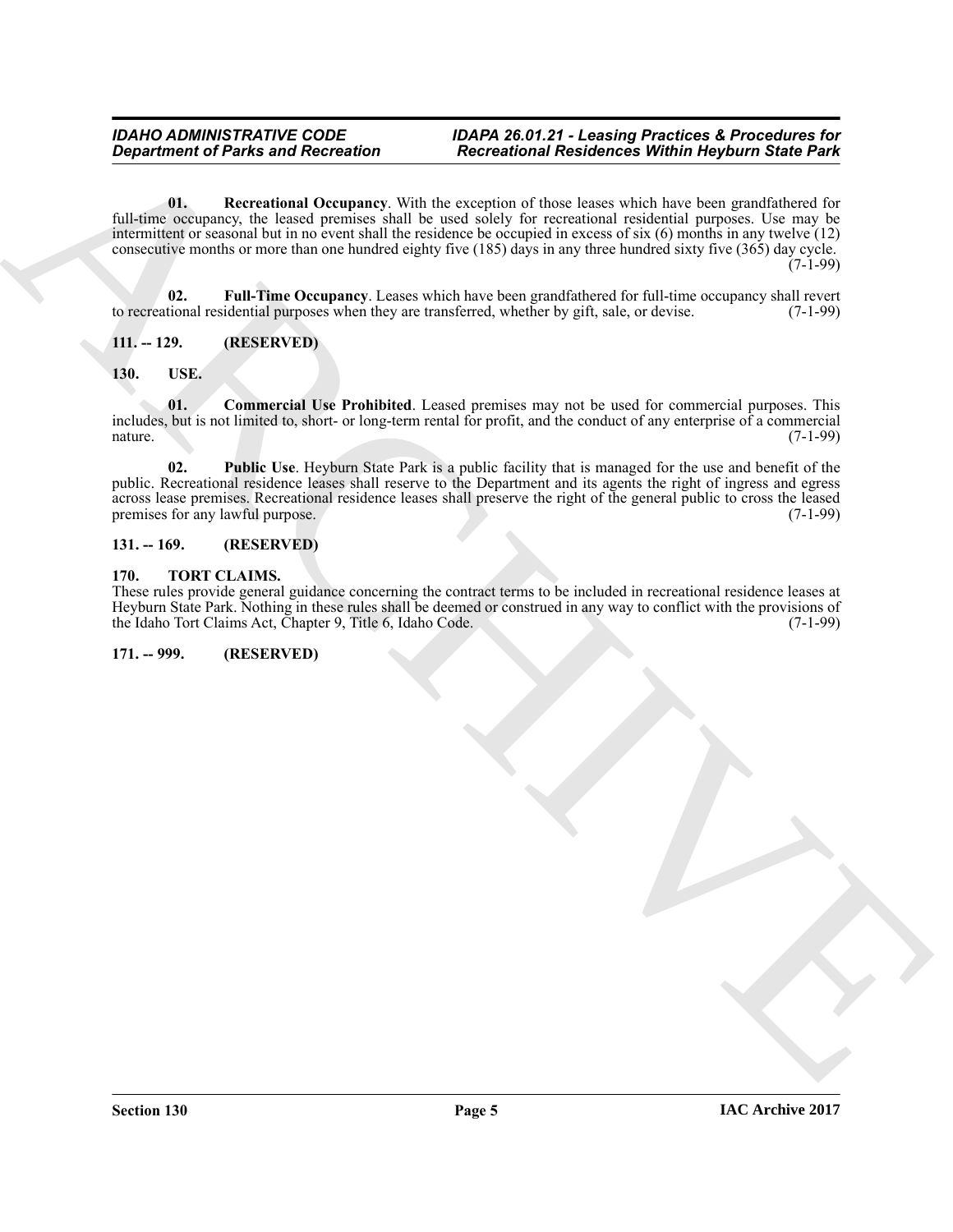**Experiment of Parks and Recreation Francesco Real interaction in Recitation of World Registers.**<br>
All the decreasing Constant (Notice that is excepted in the lead to the term in the law because the park is the state of t **01. Recreational Occupancy**. With the exception of those leases which have been grandfathered for full-time occupancy, the leased premises shall be used solely for recreational residential purposes. Use may be intermittent or seasonal but in no event shall the residence be occupied in excess of six (6) months in any twelve (12) consecutive months or more than one hundred eighty five (185) days in any three hundred sixty five (365) day cycle. (7-1-99)

<span id="page-4-6"></span><span id="page-4-5"></span>**02. Full-Time Occupancy**. Leases which have been grandfathered for full-time occupancy shall revert tional residential purposes when they are transferred, whether by gift, sale, or devise. (7-1-99) to recreational residential purposes when they are transferred, whether by gift, sale, or devise.

# <span id="page-4-0"></span>**111. -- 129. (RESERVED)**

# <span id="page-4-8"></span><span id="page-4-1"></span>**130. USE.**

<span id="page-4-9"></span>**01. Commercial Use Prohibited**. Leased premises may not be used for commercial purposes. This includes, but is not limited to, short- or long-term rental for profit, and the conduct of any enterprise of a commercial nature. (7-1-99)

<span id="page-4-10"></span>**02. Public Use**. Heyburn State Park is a public facility that is managed for the use and benefit of the public. Recreational residence leases shall reserve to the Department and its agents the right of ingress and egress across lease premises. Recreational residence leases shall preserve the right of the general public to cross the leased<br>premises for any lawful purpose. (7-1-99) premises for any lawful purpose.

# <span id="page-4-2"></span>**131. -- 169. (RESERVED)**

# <span id="page-4-7"></span><span id="page-4-3"></span>**170. TORT CLAIMS.**

These rules provide general guidance concerning the contract terms to be included in recreational residence leases at Heyburn State Park. Nothing in these rules shall be deemed or construed in any way to conflict with the provisions of the Idaho Tort Claims Act, Chapter 9, Title 6, Idaho Code.

# <span id="page-4-4"></span>**171. -- 999. (RESERVED)**